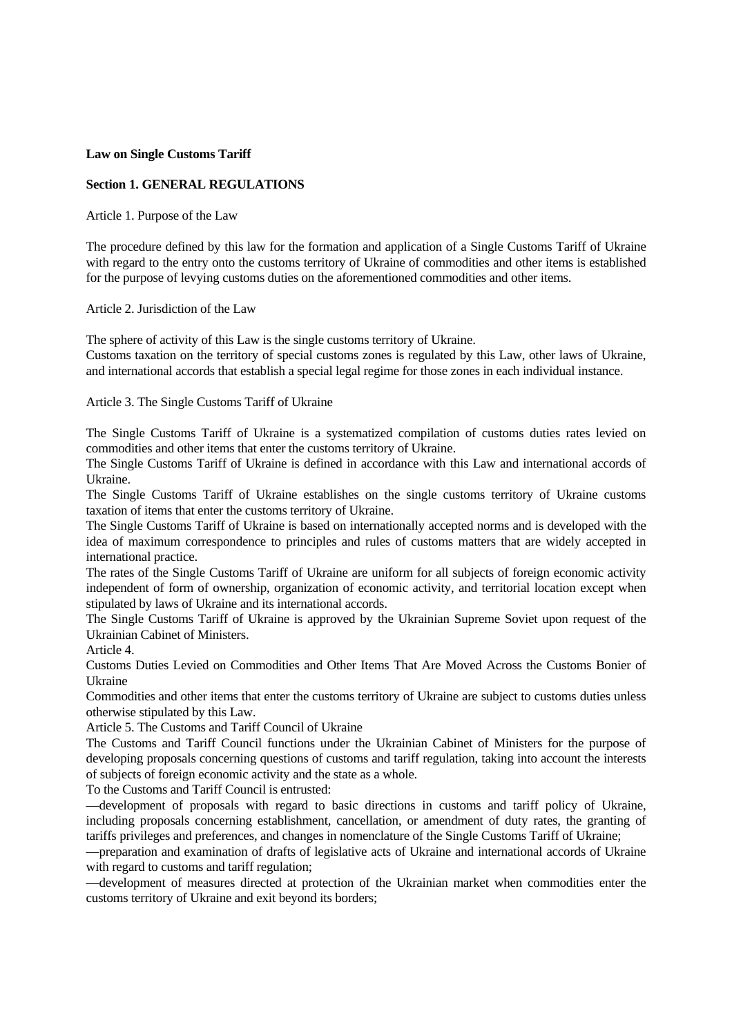#### **Law on Single Customs Tariff**

## **Section 1. GENERAL REGULATIONS**

Article 1. Purpose of the Law

The procedure defined by this law for the formation and application of a Single Customs Tariff of Ukraine with regard to the entry onto the customs territory of Ukraine of commodities and other items is established for the purpose of levying customs duties on the aforementioned commodities and other items.

Article 2. Jurisdiction of the Law

The sphere of activity of this Law is the single customs territory of Ukraine.

Customs taxation on the territory of special customs zones is regulated by this Law, other laws of Ukraine, and international accords that establish a special legal regime for those zones in each individual instance.

Article 3. The Single Customs Tariff of Ukraine

The Single Customs Tariff of Ukraine is a systematized compilation of customs duties rates levied on commodities and other items that enter the customs territory of Ukraine.

The Single Customs Tariff of Ukraine is defined in accordance with this Law and international accords of Ukraine.

The Single Customs Tariff of Ukraine establishes on the single customs territory of Ukraine customs taxation of items that enter the customs territory of Ukraine.

The Single Customs Tariff of Ukraine is based on internationally accepted norms and is developed with the idea of maximum correspondence to principles and rules of customs matters that are widely accepted in international practice.

The rates of the Single Customs Tariff of Ukraine are uniform for all subjects of foreign economic activity independent of form of ownership, organization of economic activity, and territorial location except when stipulated by laws of Ukraine and its international accords.

The Single Customs Tariff of Ukraine is approved by the Ukrainian Supreme Soviet upon request of the Ukrainian Cabinet of Ministers.

Article 4.

Customs Duties Levied on Commodities and Other Items That Are Moved Across the Customs Bonier of Ukraine

Commodities and other items that enter the customs territory of Ukraine are subject to customs duties unless otherwise stipulated by this Law.

Article 5. The Customs and Tariff Council of Ukraine

The Customs and Tariff Council functions under the Ukrainian Cabinet of Ministers for the purpose of developing proposals concerning questions of customs and tariff regulation, taking into account the interests of subjects of foreign economic activity and the state as a whole.

To the Customs and Tariff Council is entrusted:

—development of proposals with regard to basic directions in customs and tariff policy of Ukraine, including proposals concerning establishment, cancellation, or amendment of duty rates, the granting of tariffs privileges and preferences, and changes in nomenclature of the Single Customs Tariff of Ukraine;

—preparation and examination of drafts of legislative acts of Ukraine and international accords of Ukraine with regard to customs and tariff regulation;

—development of measures directed at protection of the Ukrainian market when commodities enter the customs territory of Ukraine and exit beyond its borders;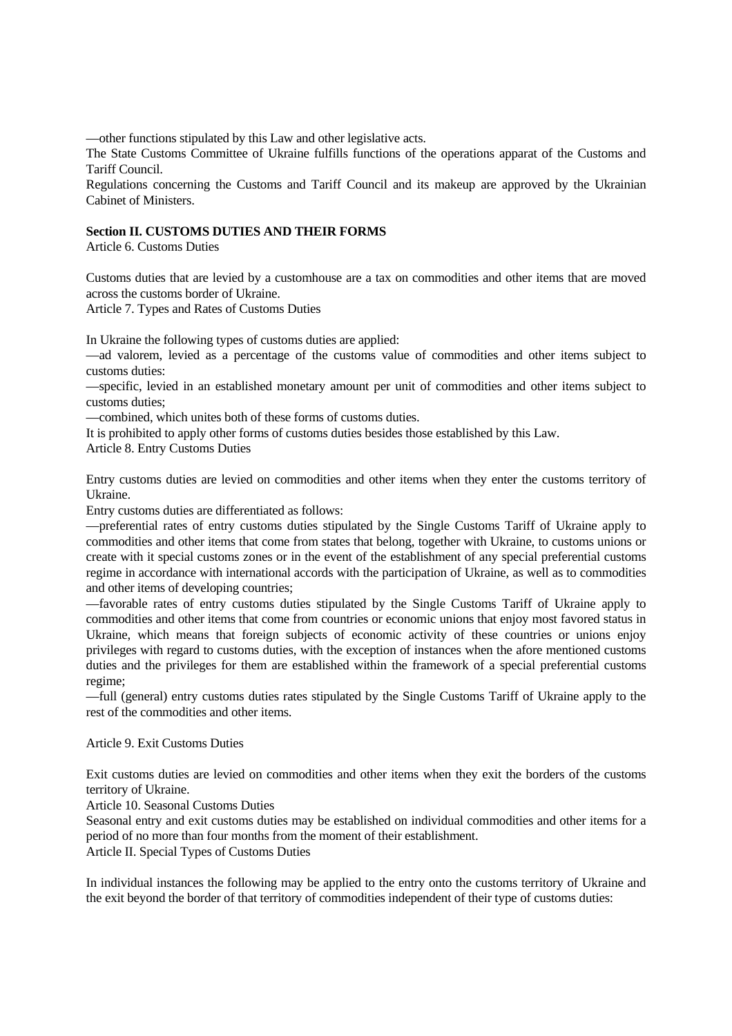—other functions stipulated by this Law and other legislative acts.

The State Customs Committee of Ukraine fulfills functions of the operations apparat of the Customs and Tariff Council.

Regulations concerning the Customs and Tariff Council and its makeup are approved by the Ukrainian Cabinet of Ministers.

#### **Section II. CUSTOMS DUTIES AND THEIR FORMS**

Article 6. Customs Duties

Customs duties that are levied by a customhouse are a tax on commodities and other items that are moved across the customs border of Ukraine.

Article 7. Types and Rates of Customs Duties

In Ukraine the following types of customs duties are applied:

—ad valorem, levied as a percentage of the customs value of commodities and other items subject to customs duties:

—specific, levied in an established monetary amount per unit of commodities and other items subject to customs duties;

—combined, which unites both of these forms of customs duties.

It is prohibited to apply other forms of customs duties besides those established by this Law.

Article 8. Entry Customs Duties

Entry customs duties are levied on commodities and other items when they enter the customs territory of Ukraine.

Entry customs duties are differentiated as follows:

—preferential rates of entry customs duties stipulated by the Single Customs Tariff of Ukraine apply to commodities and other items that come from states that belong, together with Ukraine, to customs unions or create with it special customs zones or in the event of the establishment of any special preferential customs regime in accordance with international accords with the participation of Ukraine, as well as to commodities and other items of developing countries;

—favorable rates of entry customs duties stipulated by the Single Customs Tariff of Ukraine apply to commodities and other items that come from countries or economic unions that enjoy most favored status in Ukraine, which means that foreign subjects of economic activity of these countries or unions enjoy privileges with regard to customs duties, with the exception of instances when the afore mentioned customs duties and the privileges for them are established within the framework of a special preferential customs regime;

—full (general) entry customs duties rates stipulated by the Single Customs Tariff of Ukraine apply to the rest of the commodities and other items.

#### Article 9. Exit Customs Duties

Exit customs duties are levied on commodities and other items when they exit the borders of the customs territory of Ukraine.

Article 10. Seasonal Customs Duties

Seasonal entry and exit customs duties may be established on individual commodities and other items for a period of no more than four months from the moment of their establishment.

Article II. Special Types of Customs Duties

In individual instances the following may be applied to the entry onto the customs territory of Ukraine and the exit beyond the border of that territory of commodities independent of their type of customs duties: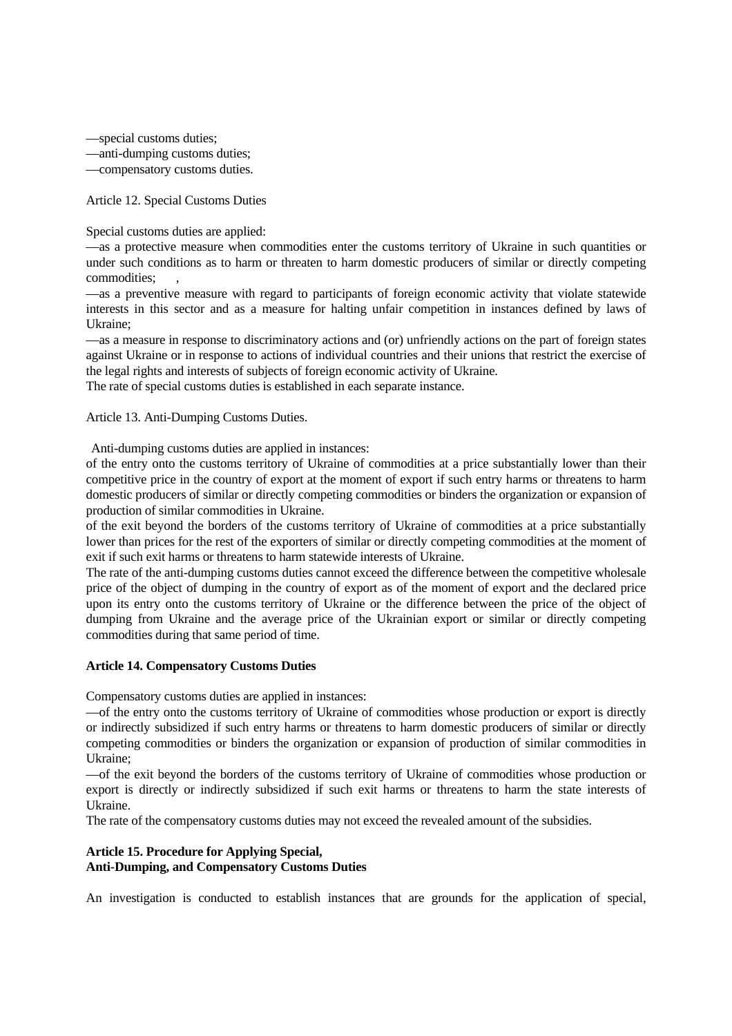—special customs duties;

—anti-dumping customs duties;

—compensatory customs duties.

Article 12. Special Customs Duties

Special customs duties are applied:

—as a protective measure when commodities enter the customs territory of Ukraine in such quantities or under such conditions as to harm or threaten to harm domestic producers of similar or directly competing commodities:

—as a preventive measure with regard to participants of foreign economic activity that violate statewide interests in this sector and as a measure for halting unfair competition in instances defined by laws of Ukraine;

—as a measure in response to discriminatory actions and (or) unfriendly actions on the part of foreign states against Ukraine or in response to actions of individual countries and their unions that restrict the exercise of the legal rights and interests of subjects of foreign economic activity of Ukraine.

The rate of special customs duties is established in each separate instance.

Article 13. Anti-Dumping Customs Duties.

Anti-dumping customs duties are applied in instances:

of the entry onto the customs territory of Ukraine of commodities at a price substantially lower than their competitive price in the country of export at the moment of export if such entry harms or threatens to harm domestic producers of similar or directly competing commodities or binders the organization or expansion of production of similar commodities in Ukraine.

of the exit beyond the borders of the customs territory of Ukraine of commodities at a price substantially lower than prices for the rest of the exporters of similar or directly competing commodities at the moment of exit if such exit harms or threatens to harm statewide interests of Ukraine.

The rate of the anti-dumping customs duties cannot exceed the difference between the competitive wholesale price of the object of dumping in the country of export as of the moment of export and the declared price upon its entry onto the customs territory of Ukraine or the difference between the price of the object of dumping from Ukraine and the average price of the Ukrainian export or similar or directly competing commodities during that same period of time.

## **Article 14. Compensatory Customs Duties**

Compensatory customs duties are applied in instances:

—of the entry onto the customs territory of Ukraine of commodities whose production or export is directly or indirectly subsidized if such entry harms or threatens to harm domestic producers of similar or directly competing commodities or binders the organization or expansion of production of similar commodities in Ukraine;

—of the exit beyond the borders of the customs territory of Ukraine of commodities whose production or export is directly or indirectly subsidized if such exit harms or threatens to harm the state interests of Ukraine.

The rate of the compensatory customs duties may not exceed the revealed amount of the subsidies.

## **Article 15. Procedure for Applying Special, Anti-Dumping, and Compensatory Customs Duties**

An investigation is conducted to establish instances that are grounds for the application of special,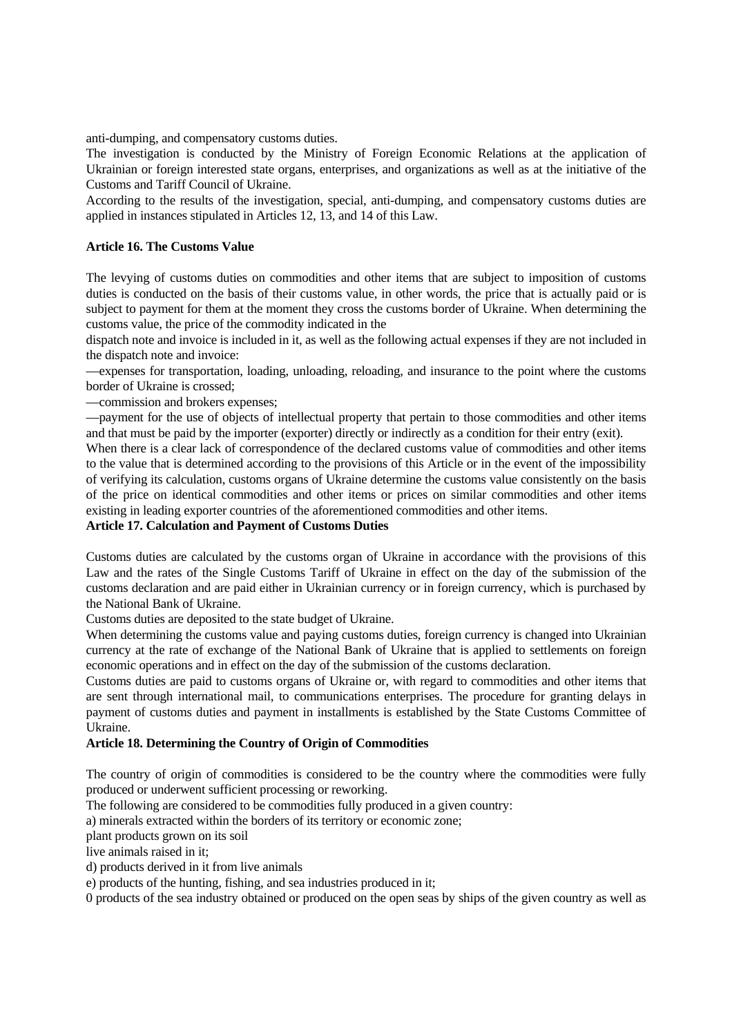anti-dumping, and compensatory customs duties.

The investigation is conducted by the Ministry of Foreign Economic Relations at the application of Ukrainian or foreign interested state organs, enterprises, and organizations as well as at the initiative of the Customs and Tariff Council of Ukraine.

According to the results of the investigation, special, anti-dumping, and compensatory customs duties are applied in instances stipulated in Articles 12, 13, and 14 of this Law.

## **Article 16. The Customs Value**

The levying of customs duties on commodities and other items that are subject to imposition of customs duties is conducted on the basis of their customs value, in other words, the price that is actually paid or is subject to payment for them at the moment they cross the customs border of Ukraine. When determining the customs value, the price of the commodity indicated in the

dispatch note and invoice is included in it, as well as the following actual expenses if they are not included in the dispatch note and invoice:

—expenses for transportation, loading, unloading, reloading, and insurance to the point where the customs border of Ukraine is crossed;

—commission and brokers expenses;

—payment for the use of objects of intellectual property that pertain to those commodities and other items and that must be paid by the importer (exporter) directly or indirectly as a condition for their entry (exit).

When there is a clear lack of correspondence of the declared customs value of commodities and other items to the value that is determined according to the provisions of this Article or in the event of the impossibility of verifying its calculation, customs organs of Ukraine determine the customs value consistently on the basis of the price on identical commodities and other items or prices on similar commodities and other items existing in leading exporter countries of the aforementioned commodities and other items.

## **Article 17. Calculation and Payment of Customs Duties**

Customs duties are calculated by the customs organ of Ukraine in accordance with the provisions of this Law and the rates of the Single Customs Tariff of Ukraine in effect on the day of the submission of the customs declaration and are paid either in Ukrainian currency or in foreign currency, which is purchased by the National Bank of Ukraine.

Customs duties are deposited to the state budget of Ukraine.

When determining the customs value and paying customs duties, foreign currency is changed into Ukrainian currency at the rate of exchange of the National Bank of Ukraine that is applied to settlements on foreign economic operations and in effect on the day of the submission of the customs declaration.

Customs duties are paid to customs organs of Ukraine or, with regard to commodities and other items that are sent through international mail, to communications enterprises. The procedure for granting delays in payment of customs duties and payment in installments is established by the State Customs Committee of Ukraine.

## **Article 18. Determining the Country of Origin of Commodities**

The country of origin of commodities is considered to be the country where the commodities were fully produced or underwent sufficient processing or reworking.

The following are considered to be commodities fully produced in a given country:

a) minerals extracted within the borders of its territory or economic zone;

plant products grown on its soil

live animals raised in it;

d) products derived in it from live animals

e) products of the hunting, fishing, and sea industries produced in it;

0 products of the sea industry obtained or produced on the open seas by ships of the given country as well as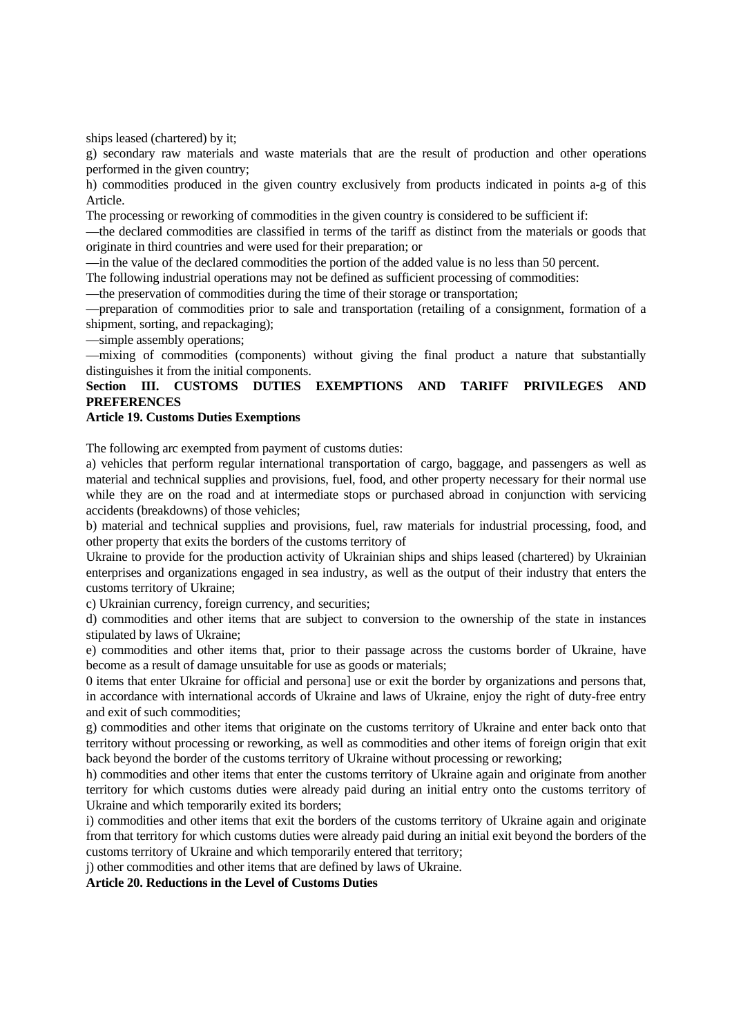ships leased (chartered) by it;

g) secondary raw materials and waste materials that are the result of production and other operations performed in the given country;

h) commodities produced in the given country exclusively from products indicated in points a-g of this Article.

The processing or reworking of commodities in the given country is considered to be sufficient if:

—the declared commodities are classified in terms of the tariff as distinct from the materials or goods that originate in third countries and were used for their preparation; or

—in the value of the declared commodities the portion of the added value is no less than 50 percent.

The following industrial operations may not be defined as sufficient processing of commodities:

—the preservation of commodities during the time of their storage or transportation;

—preparation of commodities prior to sale and transportation (retailing of a consignment, formation of a shipment, sorting, and repackaging);

—simple assembly operations;

—mixing of commodities (components) without giving the final product a nature that substantially distinguishes it from the initial components.

# **Section III. CUSTOMS DUTIES EXEMPTIONS AND TARIFF PRIVILEGES AND PREFERENCES**

#### **Article 19. Customs Duties Exemptions**

The following arc exempted from payment of customs duties:

a) vehicles that perform regular international transportation of cargo, baggage, and passengers as well as material and technical supplies and provisions, fuel, food, and other property necessary for their normal use while they are on the road and at intermediate stops or purchased abroad in conjunction with servicing accidents (breakdowns) of those vehicles;

b) material and technical supplies and provisions, fuel, raw materials for industrial processing, food, and other property that exits the borders of the customs territory of

Ukraine to provide for the production activity of Ukrainian ships and ships leased (chartered) by Ukrainian enterprises and organizations engaged in sea industry, as well as the output of their industry that enters the customs territory of Ukraine;

c) Ukrainian currency, foreign currency, and securities;

d) commodities and other items that are subject to conversion to the ownership of the state in instances stipulated by laws of Ukraine;

e) commodities and other items that, prior to their passage across the customs border of Ukraine, have become as a result of damage unsuitable for use as goods or materials;

0 items that enter Ukraine for official and persona] use or exit the border by organizations and persons that, in accordance with international accords of Ukraine and laws of Ukraine, enjoy the right of duty-free entry and exit of such commodities;

g) commodities and other items that originate on the customs territory of Ukraine and enter back onto that territory without processing or reworking, as well as commodities and other items of foreign origin that exit back beyond the border of the customs territory of Ukraine without processing or reworking;

h) commodities and other items that enter the customs territory of Ukraine again and originate from another territory for which customs duties were already paid during an initial entry onto the customs territory of Ukraine and which temporarily exited its borders;

i) commodities and other items that exit the borders of the customs territory of Ukraine again and originate from that territory for which customs duties were already paid during an initial exit beyond the borders of the customs territory of Ukraine and which temporarily entered that territory;

j) other commodities and other items that are defined by laws of Ukraine.

**Article 20. Reductions in the Level of Customs Duties**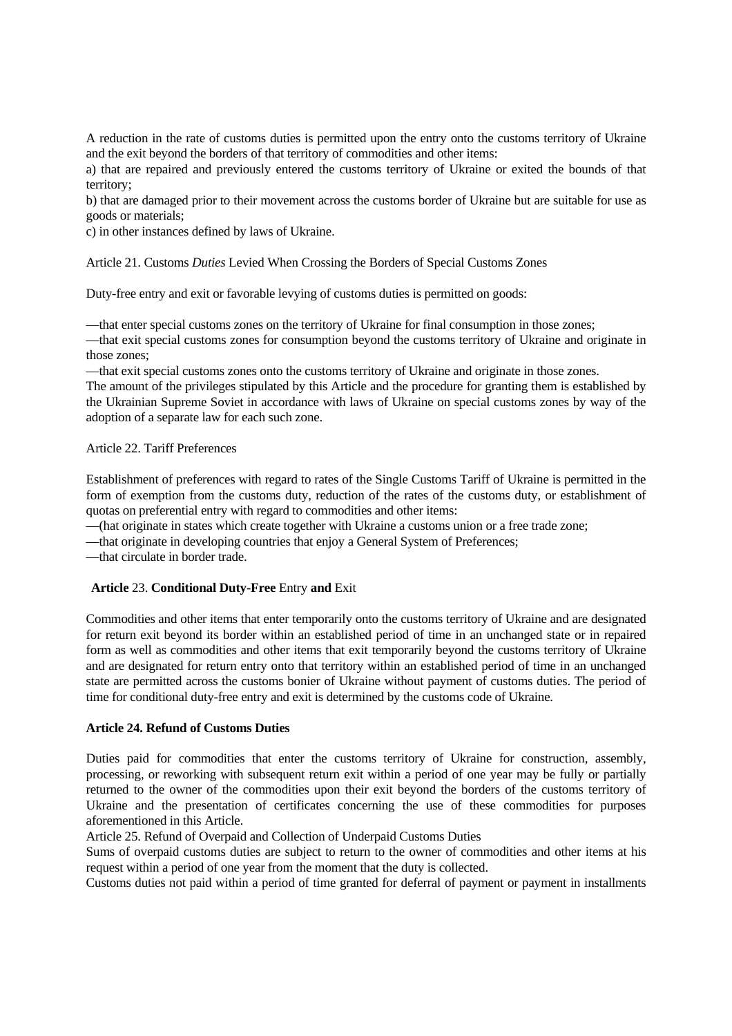A reduction in the rate of customs duties is permitted upon the entry onto the customs territory of Ukraine and the exit beyond the borders of that territory of commodities and other items:

a) that are repaired and previously entered the customs territory of Ukraine or exited the bounds of that territory;

b) that are damaged prior to their movement across the customs border of Ukraine but are suitable for use as goods or materials;

c) in other instances defined by laws of Ukraine.

Article 21. Customs *Duties* Levied When Crossing the Borders of Special Customs Zones

Duty-free entry and exit or favorable levying of customs duties is permitted on goods:

—that enter special customs zones on the territory of Ukraine for final consumption in those zones;

—that exit special customs zones for consumption beyond the customs territory of Ukraine and originate in those zones;

—that exit special customs zones onto the customs territory of Ukraine and originate in those zones.

The amount of the privileges stipulated by this Article and the procedure for granting them is established by the Ukrainian Supreme Soviet in accordance with laws of Ukraine on special customs zones by way of the adoption of a separate law for each such zone.

## Article 22. Tariff Preferences

Establishment of preferences with regard to rates of the Single Customs Tariff of Ukraine is permitted in the form of exemption from the customs duty, reduction of the rates of the customs duty, or establishment of quotas on preferential entry with regard to commodities and other items:

—(hat originate in states which create together with Ukraine a customs union or a free trade zone;

—that originate in developing countries that enjoy a General System of Preferences;

—that circulate in border trade.

## **Article** 23. **Conditional Duty-Free** Entry **and** Exit

Commodities and other items that enter temporarily onto the customs territory of Ukraine and are designated for return exit beyond its border within an established period of time in an unchanged state or in repaired form as well as commodities and other items that exit temporarily beyond the customs territory of Ukraine and are designated for return entry onto that territory within an established period of time in an unchanged state are permitted across the customs bonier of Ukraine without payment of customs duties. The period of time for conditional duty-free entry and exit is determined by the customs code of Ukraine.

#### **Article 24. Refund of Customs Duties**

Duties paid for commodities that enter the customs territory of Ukraine for construction, assembly, processing, or reworking with subsequent return exit within a period of one year may be fully or partially returned to the owner of the commodities upon their exit beyond the borders of the customs territory of Ukraine and the presentation of certificates concerning the use of these commodities for purposes aforementioned in this Article.

Article 25. Refund of Overpaid and Collection of Underpaid Customs Duties

Sums of overpaid customs duties are subject to return to the owner of commodities and other items at his request within a period of one year from the moment that the duty is collected.

Customs duties not paid within a period of time granted for deferral of payment or payment in installments